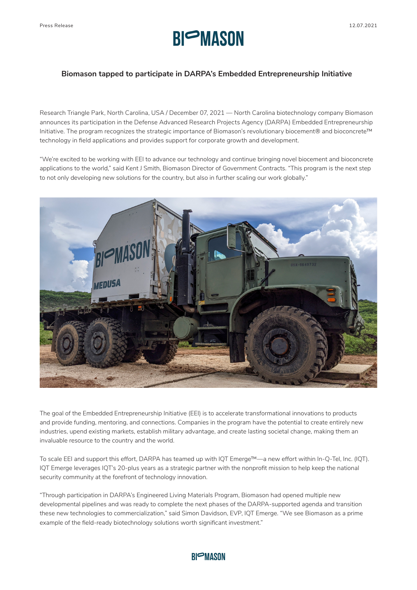

## **Biomason tapped to participate in DARPA's Embedded Entrepreneurship Initiative**

Research Triangle Park, North Carolina, USA / December 07, 2021 — North Carolina biotechnology company Biomason announces its participation in the Defense Advanced Research Projects Agency (DARPA) Embedded Entrepreneurship Initiative. The program recognizes the strategic importance of Biomason's revolutionary biocement® and bioconcrete™ technology in field applications and provides support for corporate growth and development.

"We're excited to be working with EEI to advance our technology and continue bringing novel biocement and bioconcrete applications to the world," said Kent J Smith, Biomason Director of Government Contracts. "This program is the next step to not only developing new solutions for the country, but also in further scaling our work globally."



The goal of the Embedded Entrepreneurship Initiative (EEI) is to accelerate transformational innovations to products and provide funding, mentoring, and connections. Companies in the program have the potential to create entirely new industries, upend existing markets, establish military advantage, and create lasting societal change, making them an invaluable resource to the country and the world.

To scale EEI and support this effort, DARPA has teamed up with IQT Emerge™—a new effort within In-Q-Tel, Inc. (IQT). IQT Emerge leverages IQT's 20-plus years as a strategic partner with the nonprofit mission to help keep the national security community at the forefront of technology innovation.

"Through participation in DARPA's Engineered Living Materials Program, Biomason had opened multiple new developmental pipelines and was ready to complete the next phases of the DARPA-supported agenda and transition these new technologies to commercialization," said Simon Davidson, EVP, IQT Emerge. "We see Biomason as a prime example of the field-ready biotechnology solutions worth significant investment."